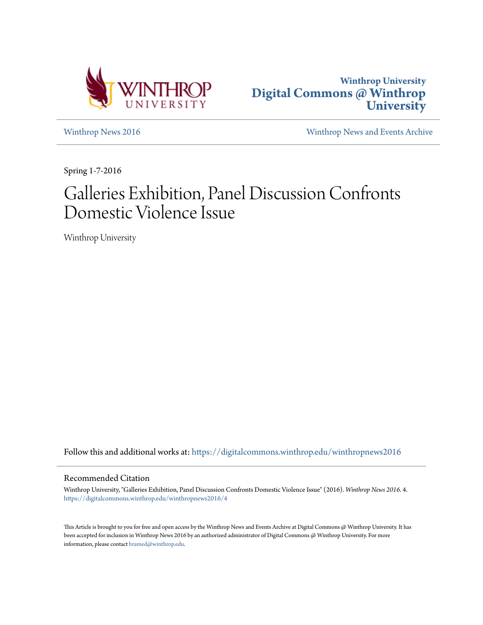



[Winthrop News 2016](https://digitalcommons.winthrop.edu/winthropnews2016?utm_source=digitalcommons.winthrop.edu%2Fwinthropnews2016%2F4&utm_medium=PDF&utm_campaign=PDFCoverPages) [Winthrop News and Events Archive](https://digitalcommons.winthrop.edu/winthropnewsarchives?utm_source=digitalcommons.winthrop.edu%2Fwinthropnews2016%2F4&utm_medium=PDF&utm_campaign=PDFCoverPages)

Spring 1-7-2016

# Galleries Exhibition, Panel Discussion Confronts Domestic Violence Issue

Winthrop University

Follow this and additional works at: [https://digitalcommons.winthrop.edu/winthropnews2016](https://digitalcommons.winthrop.edu/winthropnews2016?utm_source=digitalcommons.winthrop.edu%2Fwinthropnews2016%2F4&utm_medium=PDF&utm_campaign=PDFCoverPages)

# Recommended Citation

Winthrop University, "Galleries Exhibition, Panel Discussion Confronts Domestic Violence Issue" (2016). *Winthrop News 2016*. 4. [https://digitalcommons.winthrop.edu/winthropnews2016/4](https://digitalcommons.winthrop.edu/winthropnews2016/4?utm_source=digitalcommons.winthrop.edu%2Fwinthropnews2016%2F4&utm_medium=PDF&utm_campaign=PDFCoverPages)

This Article is brought to you for free and open access by the Winthrop News and Events Archive at Digital Commons @ Winthrop University. It has been accepted for inclusion in Winthrop News 2016 by an authorized administrator of Digital Commons @ Winthrop University. For more information, please contact [bramed@winthrop.edu](mailto:bramed@winthrop.edu).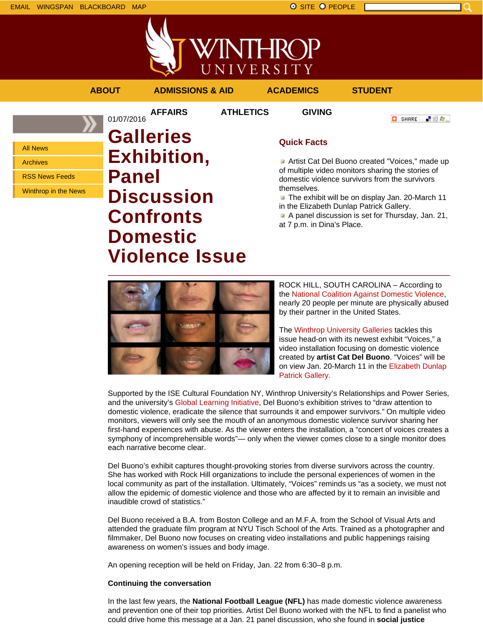



**AFFAIRS ATHLETICS GIVING**

# **ABOUT ADMISSIONS & AID ACADEMICS STUDENT**

**O** SHARE 上没有。

All News

Archives

RSS News Feeds

Winthrop in the News

01/07/2016 **Galleries Exhibition, Panel Discussion Confronts Domestic Violence Issue**

# **Quick Facts**

Artist Cat Del Buono created "Voices," made up of multiple video monitors sharing the stories of domestic violence survivors from the survivors themselves.

The exhibit will be on display Jan. 20-March 11 in the Elizabeth Dunlap Patrick Gallery.

A panel discussion is set for Thursday, Jan. 21, at 7 p.m. in Dina's Place.



ROCK HILL, SOUTH CAROLINA – According to the National Coalition Against Domestic Violence, nearly 20 people per minute are physically abused by their partner in the United States.

The Winthrop University Galleries tackles this issue head-on with its newest exhibit "Voices," a video installation focusing on domestic violence created by **artist Cat Del Buono**. "Voices" will be on view Jan. 20-March 11 in the Elizabeth Dunlap Patrick Gallery.

Supported by the ISE Cultural Foundation NY, Winthrop University's Relationships and Power Series, and the university's Global Learning Initiative, Del Buono's exhibition strives to "draw attention to domestic violence, eradicate the silence that surrounds it and empower survivors." On multiple video monitors, viewers will only see the mouth of an anonymous domestic violence survivor sharing her first-hand experiences with abuse. As the viewer enters the installation, a "concert of voices creates a symphony of incomprehensible words"— only when the viewer comes close to a single monitor does each narrative become clear.

Del Buono's exhibit captures thought-provoking stories from diverse survivors across the country. She has worked with Rock Hill organizations to include the personal experiences of women in the local community as part of the installation. Ultimately, "Voices" reminds us "as a society, we must not allow the epidemic of domestic violence and those who are affected by it to remain an invisible and inaudible crowd of statistics."

Del Buono received a B.A. from Boston College and an M.F.A. from the School of Visual Arts and attended the graduate film program at NYU Tisch School of the Arts. Trained as a photographer and filmmaker, Del Buono now focuses on creating video installations and public happenings raising awareness on women's issues and body image.

An opening reception will be held on Friday, Jan. 22 from 6:30–8 p.m.

## **Continuing the conversation**

In the last few years, the **National Football League (NFL)** has made domestic violence awareness and prevention one of their top priorities. Artist Del Buono worked with the NFL to find a panelist who could drive home this message at a Jan. 21 panel discussion, who she found in **social justice**